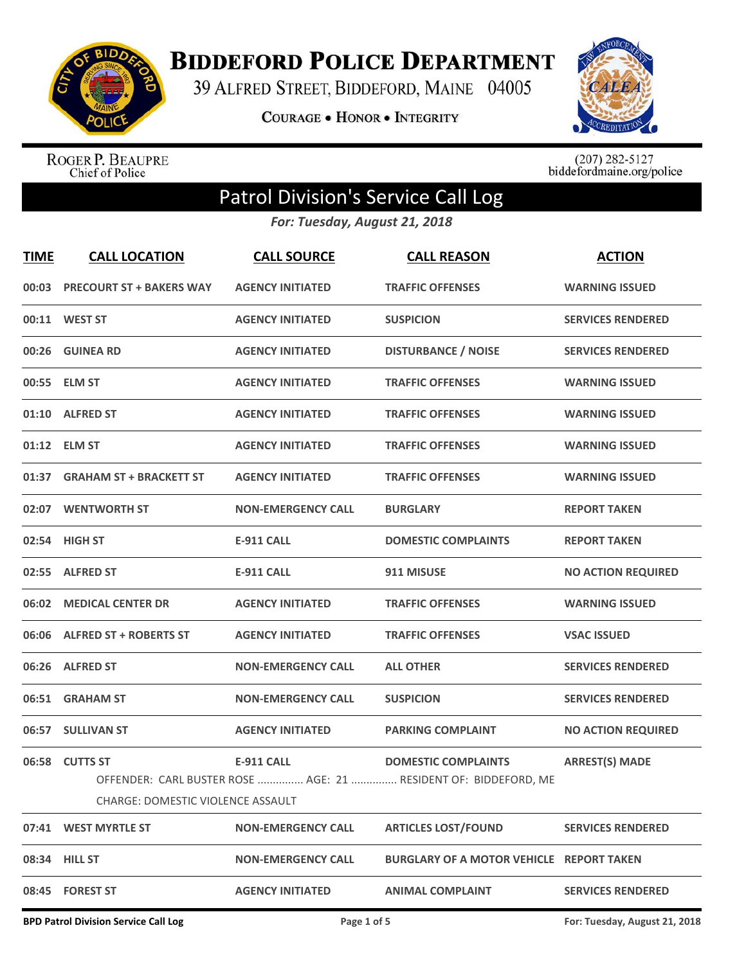

## **BIDDEFORD POLICE DEPARTMENT**

39 ALFRED STREET, BIDDEFORD, MAINE 04005

**COURAGE . HONOR . INTEGRITY** 



ROGER P. BEAUPRE<br>Chief of Police

 $(207)$  282-5127<br>biddefordmaine.org/police

## Patrol Division's Service Call Log

*For: Tuesday, August 21, 2018*

| <b>TIME</b> | <b>CALL LOCATION</b>                                | <b>CALL SOURCE</b>        | <b>CALL REASON</b>                                                                            | <b>ACTION</b>             |
|-------------|-----------------------------------------------------|---------------------------|-----------------------------------------------------------------------------------------------|---------------------------|
|             | 00:03 PRECOURT ST + BAKERS WAY                      | <b>AGENCY INITIATED</b>   | <b>TRAFFIC OFFENSES</b>                                                                       | <b>WARNING ISSUED</b>     |
|             | 00:11 WEST ST                                       | <b>AGENCY INITIATED</b>   | <b>SUSPICION</b>                                                                              | <b>SERVICES RENDERED</b>  |
|             | 00:26 GUINEA RD                                     | <b>AGENCY INITIATED</b>   | <b>DISTURBANCE / NOISE</b>                                                                    | <b>SERVICES RENDERED</b>  |
|             | 00:55 ELM ST                                        | <b>AGENCY INITIATED</b>   | <b>TRAFFIC OFFENSES</b>                                                                       | <b>WARNING ISSUED</b>     |
|             | 01:10 ALFRED ST                                     | <b>AGENCY INITIATED</b>   | <b>TRAFFIC OFFENSES</b>                                                                       | <b>WARNING ISSUED</b>     |
|             | 01:12 ELM ST                                        | <b>AGENCY INITIATED</b>   | <b>TRAFFIC OFFENSES</b>                                                                       | <b>WARNING ISSUED</b>     |
|             | 01:37 GRAHAM ST + BRACKETT ST                       | <b>AGENCY INITIATED</b>   | <b>TRAFFIC OFFENSES</b>                                                                       | <b>WARNING ISSUED</b>     |
|             | 02:07 WENTWORTH ST                                  | <b>NON-EMERGENCY CALL</b> | <b>BURGLARY</b>                                                                               | <b>REPORT TAKEN</b>       |
|             | 02:54 HIGH ST                                       | <b>E-911 CALL</b>         | <b>DOMESTIC COMPLAINTS</b>                                                                    | <b>REPORT TAKEN</b>       |
|             | 02:55 ALFRED ST                                     | <b>E-911 CALL</b>         | 911 MISUSE                                                                                    | <b>NO ACTION REQUIRED</b> |
|             | 06:02 MEDICAL CENTER DR                             | <b>AGENCY INITIATED</b>   | <b>TRAFFIC OFFENSES</b>                                                                       | <b>WARNING ISSUED</b>     |
|             | 06:06 ALFRED ST + ROBERTS ST                        | <b>AGENCY INITIATED</b>   | <b>TRAFFIC OFFENSES</b>                                                                       | <b>VSAC ISSUED</b>        |
|             | 06:26 ALFRED ST                                     | <b>NON-EMERGENCY CALL</b> | <b>ALL OTHER</b>                                                                              | <b>SERVICES RENDERED</b>  |
|             | 06:51 GRAHAM ST                                     | <b>NON-EMERGENCY CALL</b> | <b>SUSPICION</b>                                                                              | <b>SERVICES RENDERED</b>  |
|             | 06:57 SULLIVAN ST                                   | <b>AGENCY INITIATED</b>   | <b>PARKING COMPLAINT</b>                                                                      | <b>NO ACTION REQUIRED</b> |
|             | 06:58 CUTTS ST<br>CHARGE: DOMESTIC VIOLENCE ASSAULT | <b>E-911 CALL</b>         | <b>DOMESTIC COMPLAINTS</b><br>OFFENDER: CARL BUSTER ROSE  AGE: 21  RESIDENT OF: BIDDEFORD, ME | <b>ARREST(S) MADE</b>     |
| 07:41       | <b>WEST MYRTLE ST</b>                               | <b>NON-EMERGENCY CALL</b> | <b>ARTICLES LOST/FOUND</b>                                                                    | <b>SERVICES RENDERED</b>  |
|             | 08:34 HILL ST                                       | <b>NON-EMERGENCY CALL</b> | <b>BURGLARY OF A MOTOR VEHICLE REPORT TAKEN</b>                                               |                           |
|             | 08:45 FOREST ST                                     | <b>AGENCY INITIATED</b>   | <b>ANIMAL COMPLAINT</b>                                                                       | <b>SERVICES RENDERED</b>  |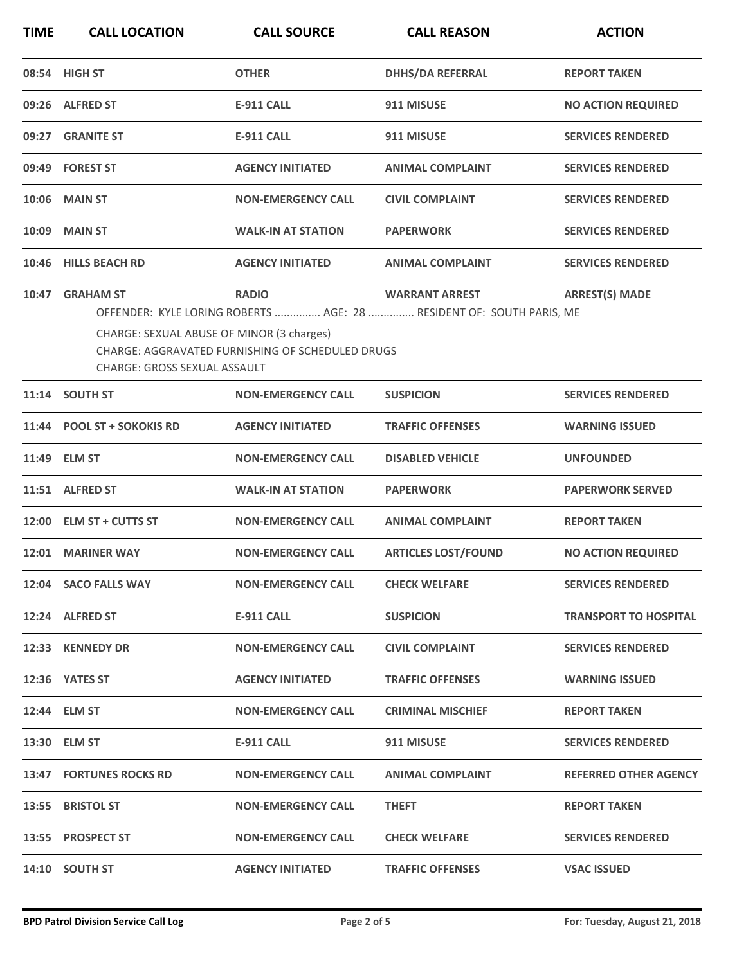**TIME CALL LOCATION CALL SOURCE CALL REASON ACTION**

|       | 08:54 HIGH ST                                                                                       | <b>OTHER</b>                                                            | <b>DHHS/DA REFERRAL</b>                                                                       | <b>REPORT TAKEN</b>          |
|-------|-----------------------------------------------------------------------------------------------------|-------------------------------------------------------------------------|-----------------------------------------------------------------------------------------------|------------------------------|
|       | 09:26 ALFRED ST                                                                                     | <b>E-911 CALL</b>                                                       | 911 MISUSE                                                                                    | <b>NO ACTION REQUIRED</b>    |
|       | 09:27 GRANITE ST                                                                                    | <b>E-911 CALL</b>                                                       | 911 MISUSE                                                                                    | <b>SERVICES RENDERED</b>     |
|       | 09:49 FOREST ST                                                                                     | <b>AGENCY INITIATED</b>                                                 | <b>ANIMAL COMPLAINT</b>                                                                       | <b>SERVICES RENDERED</b>     |
| 10:06 | <b>MAIN ST</b>                                                                                      | <b>NON-EMERGENCY CALL</b>                                               | <b>CIVIL COMPLAINT</b>                                                                        | <b>SERVICES RENDERED</b>     |
| 10:09 | <b>MAIN ST</b>                                                                                      | <b>WALK-IN AT STATION</b>                                               | <b>PAPERWORK</b>                                                                              | <b>SERVICES RENDERED</b>     |
| 10:46 | <b>HILLS BEACH RD</b>                                                                               | <b>AGENCY INITIATED</b>                                                 | <b>ANIMAL COMPLAINT</b>                                                                       | <b>SERVICES RENDERED</b>     |
|       | 10:47 GRAHAM ST<br>CHARGE: SEXUAL ABUSE OF MINOR (3 charges)<br><b>CHARGE: GROSS SEXUAL ASSAULT</b> | <b>RADIO</b><br><b>CHARGE: AGGRAVATED FURNISHING OF SCHEDULED DRUGS</b> | <b>WARRANT ARREST</b><br>OFFENDER: KYLE LORING ROBERTS  AGE: 28  RESIDENT OF: SOUTH PARIS, ME | <b>ARREST(S) MADE</b>        |
|       | 11:14 SOUTH ST                                                                                      | <b>NON-EMERGENCY CALL</b>                                               | <b>SUSPICION</b>                                                                              | <b>SERVICES RENDERED</b>     |
|       | 11:44 POOL ST + SOKOKIS RD                                                                          | <b>AGENCY INITIATED</b>                                                 | <b>TRAFFIC OFFENSES</b>                                                                       | <b>WARNING ISSUED</b>        |
|       | 11:49 ELM ST                                                                                        | <b>NON-EMERGENCY CALL</b>                                               | <b>DISABLED VEHICLE</b>                                                                       | <b>UNFOUNDED</b>             |
|       | 11:51 ALFRED ST                                                                                     | <b>WALK-IN AT STATION</b>                                               | <b>PAPERWORK</b>                                                                              | <b>PAPERWORK SERVED</b>      |
|       | 12:00 ELM ST + CUTTS ST                                                                             | <b>NON-EMERGENCY CALL</b>                                               | <b>ANIMAL COMPLAINT</b>                                                                       | <b>REPORT TAKEN</b>          |
| 12:01 | <b>MARINER WAY</b>                                                                                  | <b>NON-EMERGENCY CALL</b>                                               | <b>ARTICLES LOST/FOUND</b>                                                                    | <b>NO ACTION REQUIRED</b>    |
|       | 12:04 SACO FALLS WAY                                                                                | <b>NON-EMERGENCY CALL</b>                                               | <b>CHECK WELFARE</b>                                                                          | <b>SERVICES RENDERED</b>     |
|       | 12:24 ALFRED ST                                                                                     | E-911 CALL                                                              | <b>SUSPICION</b>                                                                              | <b>TRANSPORT TO HOSPITAL</b> |
|       | 12:33 KENNEDY DR                                                                                    | <b>NON-EMERGENCY CALL</b>                                               | <b>CIVIL COMPLAINT</b>                                                                        | <b>SERVICES RENDERED</b>     |
|       | 12:36 YATES ST                                                                                      | <b>AGENCY INITIATED</b>                                                 | <b>TRAFFIC OFFENSES</b>                                                                       | <b>WARNING ISSUED</b>        |
|       | 12:44 ELM ST                                                                                        | <b>NON-EMERGENCY CALL</b>                                               | <b>CRIMINAL MISCHIEF</b>                                                                      | <b>REPORT TAKEN</b>          |
|       | 13:30 ELM ST                                                                                        | E-911 CALL                                                              | 911 MISUSE                                                                                    | <b>SERVICES RENDERED</b>     |
|       | 13:47 FORTUNES ROCKS RD                                                                             | <b>NON-EMERGENCY CALL</b>                                               | <b>ANIMAL COMPLAINT</b>                                                                       | <b>REFERRED OTHER AGENCY</b> |
|       | 13:55 BRISTOL ST                                                                                    | <b>NON-EMERGENCY CALL</b>                                               | <b>THEFT</b>                                                                                  | <b>REPORT TAKEN</b>          |
|       | 13:55 PROSPECT ST                                                                                   | <b>NON-EMERGENCY CALL</b>                                               | <b>CHECK WELFARE</b>                                                                          | <b>SERVICES RENDERED</b>     |
|       | 14:10 SOUTH ST                                                                                      | <b>AGENCY INITIATED</b>                                                 | <b>TRAFFIC OFFENSES</b>                                                                       | <b>VSAC ISSUED</b>           |
|       |                                                                                                     |                                                                         |                                                                                               |                              |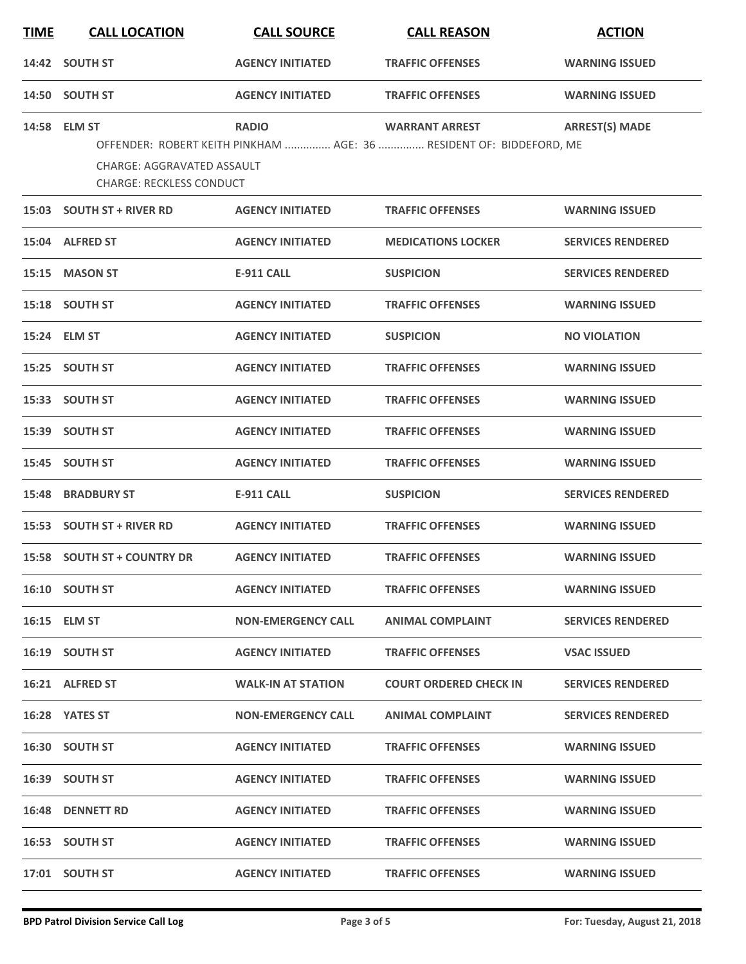| <b>TIME</b> | <b>CALL LOCATION</b>                                                                 | <b>CALL SOURCE</b>        | <b>CALL REASON</b>                                                                           | <b>ACTION</b>            |
|-------------|--------------------------------------------------------------------------------------|---------------------------|----------------------------------------------------------------------------------------------|--------------------------|
| 14:42       | <b>SOUTH ST</b>                                                                      | <b>AGENCY INITIATED</b>   | <b>TRAFFIC OFFENSES</b>                                                                      | <b>WARNING ISSUED</b>    |
| 14:50       | <b>SOUTH ST</b>                                                                      | <b>AGENCY INITIATED</b>   | <b>TRAFFIC OFFENSES</b>                                                                      | <b>WARNING ISSUED</b>    |
|             | 14:58 ELM ST<br><b>CHARGE: AGGRAVATED ASSAULT</b><br><b>CHARGE: RECKLESS CONDUCT</b> | <b>RADIO</b>              | <b>WARRANT ARREST</b><br>OFFENDER: ROBERT KEITH PINKHAM  AGE: 36  RESIDENT OF: BIDDEFORD, ME | <b>ARREST(S) MADE</b>    |
| 15:03       | <b>SOUTH ST + RIVER RD</b>                                                           | <b>AGENCY INITIATED</b>   | <b>TRAFFIC OFFENSES</b>                                                                      | <b>WARNING ISSUED</b>    |
| 15:04       | <b>ALFRED ST</b>                                                                     | <b>AGENCY INITIATED</b>   | <b>MEDICATIONS LOCKER</b>                                                                    | <b>SERVICES RENDERED</b> |
| 15:15       | <b>MASON ST</b>                                                                      | <b>E-911 CALL</b>         | <b>SUSPICION</b>                                                                             | <b>SERVICES RENDERED</b> |
| 15:18       | <b>SOUTH ST</b>                                                                      | <b>AGENCY INITIATED</b>   | <b>TRAFFIC OFFENSES</b>                                                                      | <b>WARNING ISSUED</b>    |
|             | 15:24 ELM ST                                                                         | <b>AGENCY INITIATED</b>   | <b>SUSPICION</b>                                                                             | <b>NO VIOLATION</b>      |
| 15:25       | <b>SOUTH ST</b>                                                                      | <b>AGENCY INITIATED</b>   | <b>TRAFFIC OFFENSES</b>                                                                      | <b>WARNING ISSUED</b>    |
| 15:33       | <b>SOUTH ST</b>                                                                      | <b>AGENCY INITIATED</b>   | <b>TRAFFIC OFFENSES</b>                                                                      | <b>WARNING ISSUED</b>    |
| 15:39       | <b>SOUTH ST</b>                                                                      | <b>AGENCY INITIATED</b>   | <b>TRAFFIC OFFENSES</b>                                                                      | <b>WARNING ISSUED</b>    |
| 15:45       | <b>SOUTH ST</b>                                                                      | <b>AGENCY INITIATED</b>   | <b>TRAFFIC OFFENSES</b>                                                                      | <b>WARNING ISSUED</b>    |
| 15:48       | <b>BRADBURY ST</b>                                                                   | <b>E-911 CALL</b>         | <b>SUSPICION</b>                                                                             | <b>SERVICES RENDERED</b> |
| 15:53       | <b>SOUTH ST + RIVER RD</b>                                                           | <b>AGENCY INITIATED</b>   | <b>TRAFFIC OFFENSES</b>                                                                      | <b>WARNING ISSUED</b>    |
|             | 15:58 SOUTH ST + COUNTRY DR                                                          | <b>AGENCY INITIATED</b>   | <b>TRAFFIC OFFENSES</b>                                                                      | <b>WARNING ISSUED</b>    |
|             | 16:10 SOUTH ST                                                                       | <b>AGENCY INITIATED</b>   | <b>TRAFFIC OFFENSES</b>                                                                      | <b>WARNING ISSUED</b>    |
|             | 16:15 ELM ST                                                                         | <b>NON-EMERGENCY CALL</b> | <b>ANIMAL COMPLAINT</b>                                                                      | <b>SERVICES RENDERED</b> |
|             | 16:19 SOUTH ST                                                                       | <b>AGENCY INITIATED</b>   | <b>TRAFFIC OFFENSES</b>                                                                      | <b>VSAC ISSUED</b>       |
|             | 16:21 ALFRED ST                                                                      | <b>WALK-IN AT STATION</b> | <b>COURT ORDERED CHECK IN</b>                                                                | <b>SERVICES RENDERED</b> |
|             | 16:28 YATES ST                                                                       | <b>NON-EMERGENCY CALL</b> | ANIMAL COMPLAINT                                                                             | <b>SERVICES RENDERED</b> |
|             | 16:30 SOUTH ST                                                                       | <b>AGENCY INITIATED</b>   | <b>TRAFFIC OFFENSES</b>                                                                      | <b>WARNING ISSUED</b>    |
|             | 16:39 SOUTH ST                                                                       | <b>AGENCY INITIATED</b>   | <b>TRAFFIC OFFENSES</b>                                                                      | <b>WARNING ISSUED</b>    |
|             | 16:48 DENNETT RD                                                                     | <b>AGENCY INITIATED</b>   | <b>TRAFFIC OFFENSES</b>                                                                      | <b>WARNING ISSUED</b>    |
|             | 16:53 SOUTH ST                                                                       | <b>AGENCY INITIATED</b>   | <b>TRAFFIC OFFENSES</b>                                                                      | <b>WARNING ISSUED</b>    |
|             | 17:01 SOUTH ST                                                                       | <b>AGENCY INITIATED</b>   | <b>TRAFFIC OFFENSES</b>                                                                      | <b>WARNING ISSUED</b>    |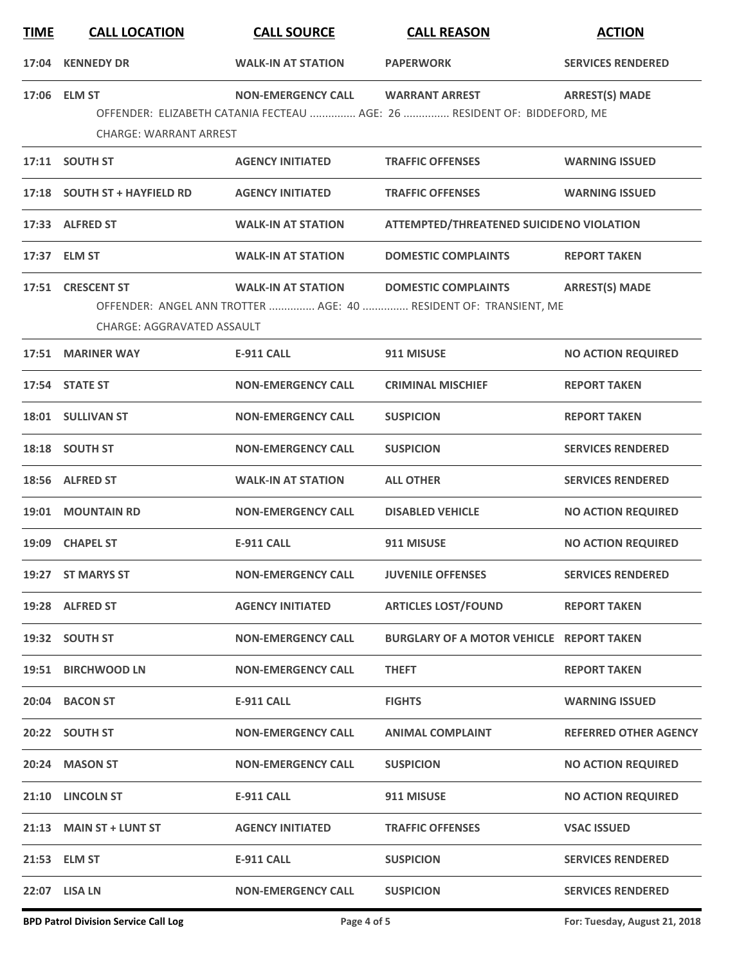| <b>TIME</b> | <b>CALL LOCATION</b>                                   | <b>CALL SOURCE</b>        | <b>CALL REASON</b>                                                                                | <b>ACTION</b>                |
|-------------|--------------------------------------------------------|---------------------------|---------------------------------------------------------------------------------------------------|------------------------------|
| 17:04       | <b>KENNEDY DR</b>                                      | <b>WALK-IN AT STATION</b> | <b>PAPERWORK</b>                                                                                  | <b>SERVICES RENDERED</b>     |
|             | 17:06 ELM ST<br><b>CHARGE: WARRANT ARREST</b>          | <b>NON-EMERGENCY CALL</b> | <b>WARRANT ARREST</b><br>OFFENDER: ELIZABETH CATANIA FECTEAU  AGE: 26  RESIDENT OF: BIDDEFORD, ME | <b>ARREST(S) MADE</b>        |
|             | 17:11 SOUTH ST                                         | <b>AGENCY INITIATED</b>   | <b>TRAFFIC OFFENSES</b>                                                                           | <b>WARNING ISSUED</b>        |
|             | 17:18 SOUTH ST + HAYFIELD RD                           | <b>AGENCY INITIATED</b>   | <b>TRAFFIC OFFENSES</b>                                                                           | <b>WARNING ISSUED</b>        |
|             | 17:33 ALFRED ST                                        | <b>WALK-IN AT STATION</b> | <b>ATTEMPTED/THREATENED SUICIDENO VIOLATION</b>                                                   |                              |
|             | 17:37 ELM ST                                           | <b>WALK-IN AT STATION</b> | <b>DOMESTIC COMPLAINTS</b>                                                                        | <b>REPORT TAKEN</b>          |
|             | 17:51 CRESCENT ST<br><b>CHARGE: AGGRAVATED ASSAULT</b> | <b>WALK-IN AT STATION</b> | <b>DOMESTIC COMPLAINTS</b><br>OFFENDER: ANGEL ANN TROTTER  AGE: 40  RESIDENT OF: TRANSIENT, ME    | <b>ARREST(S) MADE</b>        |
|             | 17:51 MARINER WAY                                      | <b>E-911 CALL</b>         | 911 MISUSE                                                                                        | <b>NO ACTION REQUIRED</b>    |
|             | 17:54 STATE ST                                         | <b>NON-EMERGENCY CALL</b> | <b>CRIMINAL MISCHIEF</b>                                                                          | <b>REPORT TAKEN</b>          |
|             | 18:01 SULLIVAN ST                                      | <b>NON-EMERGENCY CALL</b> | <b>SUSPICION</b>                                                                                  | <b>REPORT TAKEN</b>          |
|             | 18:18 SOUTH ST                                         | <b>NON-EMERGENCY CALL</b> | <b>SUSPICION</b>                                                                                  | <b>SERVICES RENDERED</b>     |
|             | 18:56 ALFRED ST                                        | <b>WALK-IN AT STATION</b> | <b>ALL OTHER</b>                                                                                  | <b>SERVICES RENDERED</b>     |
|             | 19:01 MOUNTAIN RD                                      | <b>NON-EMERGENCY CALL</b> | <b>DISABLED VEHICLE</b>                                                                           | <b>NO ACTION REQUIRED</b>    |
|             | 19:09 CHAPEL ST                                        | <b>E-911 CALL</b>         | 911 MISUSE                                                                                        | <b>NO ACTION REQUIRED</b>    |
|             | 19:27 ST MARYS ST                                      | <b>NON-EMERGENCY CALL</b> | <b>JUVENILE OFFENSES</b>                                                                          | <b>SERVICES RENDERED</b>     |
|             | 19:28 ALFRED ST                                        | <b>AGENCY INITIATED</b>   | <b>ARTICLES LOST/FOUND</b>                                                                        | <b>REPORT TAKEN</b>          |
|             | 19:32 SOUTH ST                                         | <b>NON-EMERGENCY CALL</b> | BURGLARY OF A MOTOR VEHICLE REPORT TAKEN                                                          |                              |
|             | 19:51 BIRCHWOOD LN                                     | <b>NON-EMERGENCY CALL</b> | <b>THEFT</b>                                                                                      | <b>REPORT TAKEN</b>          |
|             | 20:04 BACON ST                                         | E-911 CALL                | <b>FIGHTS</b>                                                                                     | <b>WARNING ISSUED</b>        |
|             | 20:22 SOUTH ST                                         | <b>NON-EMERGENCY CALL</b> | <b>ANIMAL COMPLAINT</b>                                                                           | <b>REFERRED OTHER AGENCY</b> |
|             | 20:24 MASON ST                                         | <b>NON-EMERGENCY CALL</b> | <b>SUSPICION</b>                                                                                  | <b>NO ACTION REQUIRED</b>    |
|             | 21:10 LINCOLN ST                                       | E-911 CALL                | 911 MISUSE                                                                                        | <b>NO ACTION REQUIRED</b>    |
|             | 21:13 MAIN ST + LUNT ST                                | <b>AGENCY INITIATED</b>   | <b>TRAFFIC OFFENSES</b>                                                                           | <b>VSAC ISSUED</b>           |
|             | 21:53 ELM ST                                           | E-911 CALL                | <b>SUSPICION</b>                                                                                  | <b>SERVICES RENDERED</b>     |
|             | 22:07 LISA LN                                          | <b>NON-EMERGENCY CALL</b> | <b>SUSPICION</b>                                                                                  | <b>SERVICES RENDERED</b>     |